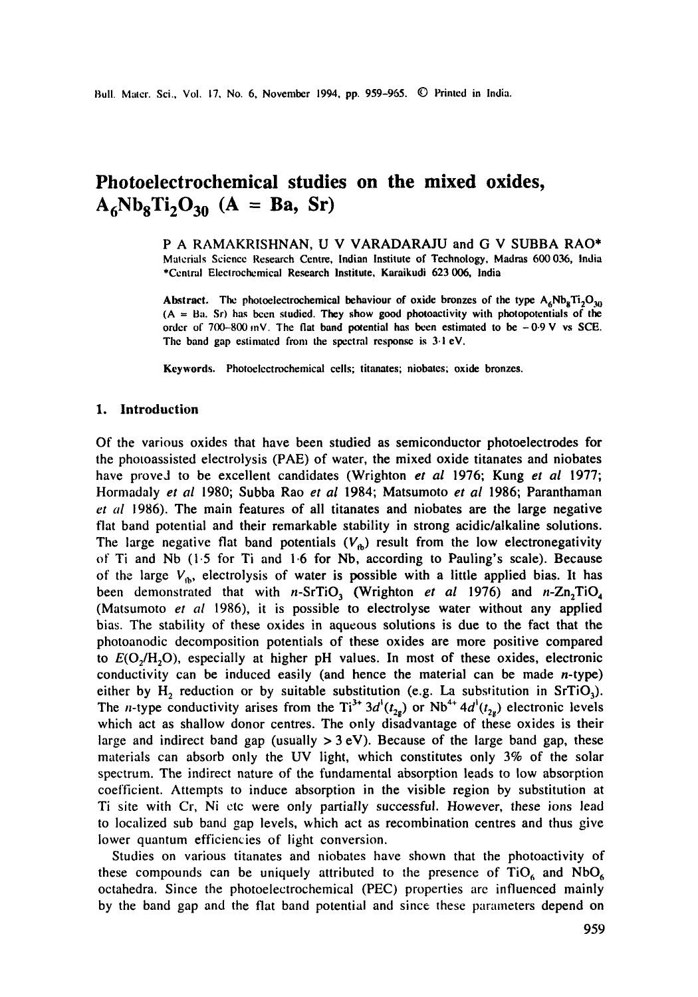# **Photoelectrochemical studies on the mixed oxides,**   $A_6Nb_8Ti_2O_{30}$  (A = Ba, Sr)

P A RAMAKRISHNAN, U V VARADARAJU and G V SUBBA RAO\* Malerials Science Research Centre, Indian Institute of Technology, Madras 600 036, India \*Central Electrochemical Research Institute, Karaikudi 623 006, India

Abstract. The photoelectrochemical behaviour of oxide bronzes of the type  $A_6Nb_8Ti_2O_{30}$  $(A = Ba, Sr)$  has been studied. They show good photoactivity with photopotentials of the order of  $700-800$  mV. The flat band potential has been estimated to be  $-0.9$  V vs SCE. The band gap estimated from the spectral response is 3.1 eV.

Keywords. Photoelectrochemical cells; titanates; niobates; oxide bronzes.

## I. Introduction

Of the various oxides that have been studied as semiconductor photoelectrodes for the photoassisted electrolysis (PAE) of water, the mixed oxide titanates and niobates have proved to be excellent candidates (Wrighton *et al* 1976; Kung *et al* 1977; Hormadaly *et al* 1980; Subba Rao *et al* 1984; Matsumoto *et al* 1986; Paranthaman *et al* 1986). The main features of all titanates and niobates are the large negative flat band potential and their remarkable stability in strong acidic/alkaline solutions. The large negative flat band potentials  $(V_{\rm n})$  result from the low electronegativity of Ti and Nb (1.5 for Ti and 1.6 for Nb, according to Pauling's scale). Because of the large  $V_{\alpha}$ , electrolysis of water is possible with a little applied bias. It has been demonstrated that with *n*-SrTiO<sub>3</sub> (Wrighton *et al* 1976) and *n*-Zn<sub>2</sub>TiO<sub>4</sub> (Matsumoto *et al* 1986), it is possible to electrolyse water without any applied bias. The stability of these oxides in aqueous solutions is due to the fact that the photoanodic decomposition potentials of these oxides are more positive compared to  $E(O_2/H_2O)$ , especially at higher pH values. In most of these oxides, electronic conductivity can be induced easily (and hence the material can be made n-type) either by  $H_2$  reduction or by suitable substitution (e.g. La substitution in SrTiO<sub>3</sub>). The *n*-type conductivity arises from the Ti<sup>3+</sup> 3d'( $t_{2}$ ) or Nb<sup>4+</sup> 4d'( $t_{2}$ ) electronic levels which act as shallow donor centres. The only disadvantage of these oxides is their large and indirect band gap (usually  $> 3$  eV). Because of the large band gap, these materials can absorb only the UV light, which constitutes only 3% of the solar spectrum. The indirect nature of the fundamental absorption leads to low absorption coefficient. Attempts to induce absorption in the visible region by substitution at Ti site with Cr, Ni ctc were only partially successful. However, these ions lead to localized sub band gap levels, which act as recombination centres and thus give lower quantum efficiencies of light conversion.

Studies on various titanates and niobates have shown that the photoactivity of these compounds can be uniquely attributed to the presence of  $TiO_6$  and  $NbO_6$ octahedra. Since the photoelectrochemical (PEC) properties are influenced mainly by the band gap and the flat band potential and since these parameters depend on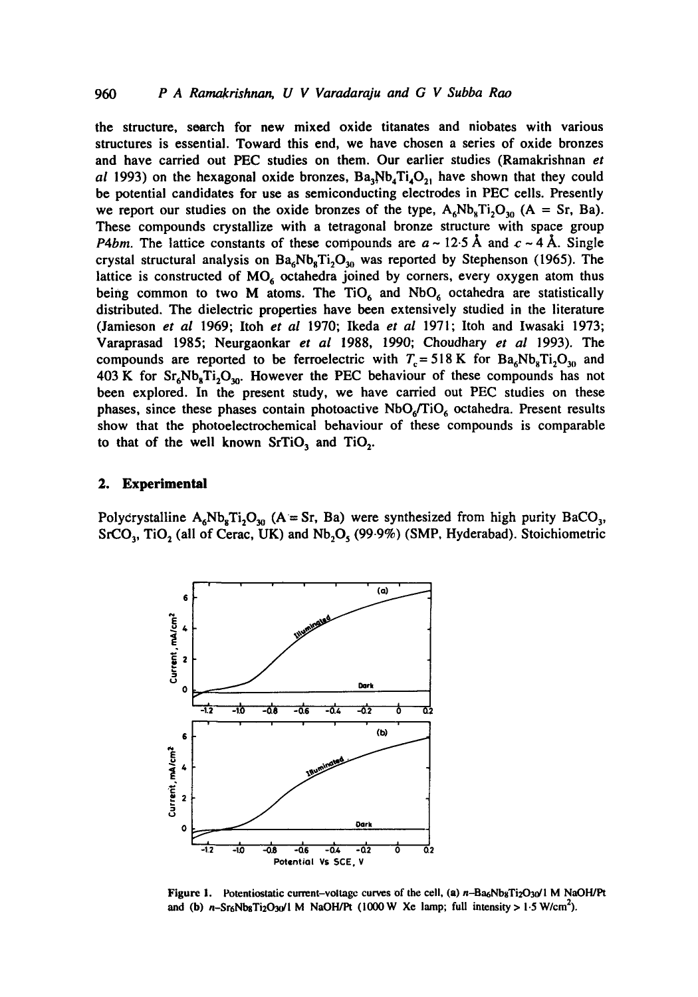the structure, soarch for new mixed oxide titanates and niobates with various structures is essential. Toward this end, we have chosen a series of oxide bronzes and have carried out PEC studies on them. Our earlier studies (Ramakrishnan *et al* 1993) on the hexagonal oxide bronzes,  $Ba_3Nb_4Ti_4O_2$ , have shown that they could be potential candidates for use as semiconducting electrodes in PEC cells. Presently we report our studies on the oxide bronzes of the type,  $A_6Nb_8Ti_2O_{30}$  (A = Sr, Ba). These compounds crystallize with a tetragonal bronze structure with space group *P4bm.* The lattice constants of these compounds are  $a \sim 12.5$  Å and  $c \sim 4$  Å. Single crystal structural analysis on  $Ba_6Nb_8Ti_2O_{30}$  was reported by Stephenson (1965). The lattice is constructed of  $MO<sub>6</sub>$  octahedra joined by corners, every oxygen atom thus being common to two M atoms. The  $TiO<sub>6</sub>$  and  $NbO<sub>6</sub>$  octahedra are statistically distributed. The dielectric properties have been extensively studied in the literature (Jamieson *et al* 1969; Itoh *et al* 1970; Ikeda *et al* 1971; Itoh and Iwasaki 1973; Varaprasad 1985; Neurgaonkar *et al* 1988, 1990; Choudhary *et al* 1993). The compounds are reported to be ferroelectric with  $T_c = 518 \text{ K}$  for  $Ba_6Nb_8Ti_2O_{30}$  and 403 K for  $Sr_6Nb_8Ti_2O_{30}$ . However the PEC behaviour of these compounds has not been explored. In the present study, we have carried out PEC studies on these phases, since these phases contain photoactive  $NbO<sub>6</sub>/TiO<sub>6</sub>$  octahedra. Present results show that the photoelectrochemical behaviour of these compounds is comparable to that of the well known  $SrTiO<sub>3</sub>$  and  $TiO<sub>2</sub>$ .

### **2. Experimental**

Polycrystalline  $A_6Nb_8Ti_2O_{30}$  (A = Sr, Ba) were synthesized from high purity BaCO<sub>3</sub>,  $SrCO<sub>3</sub>$ , TiO<sub>2</sub> (all of Cerac, UK) and  $Nb<sub>2</sub>O<sub>5</sub>$  (99.9%) (SMP, Hyderabad). Stoichiometric



Figure 1. Potentiostatic current-voltage curves of the cell, (a) n-Ba6NbgTi2O30/l M NaOH/Pt and (b)  $n-\frac{Sr_6}{\log T_2O_3}$ /l M NaOH/Pt (1000 W Xe lamp; full intensity > 1.5 W/cm<sup>2</sup>).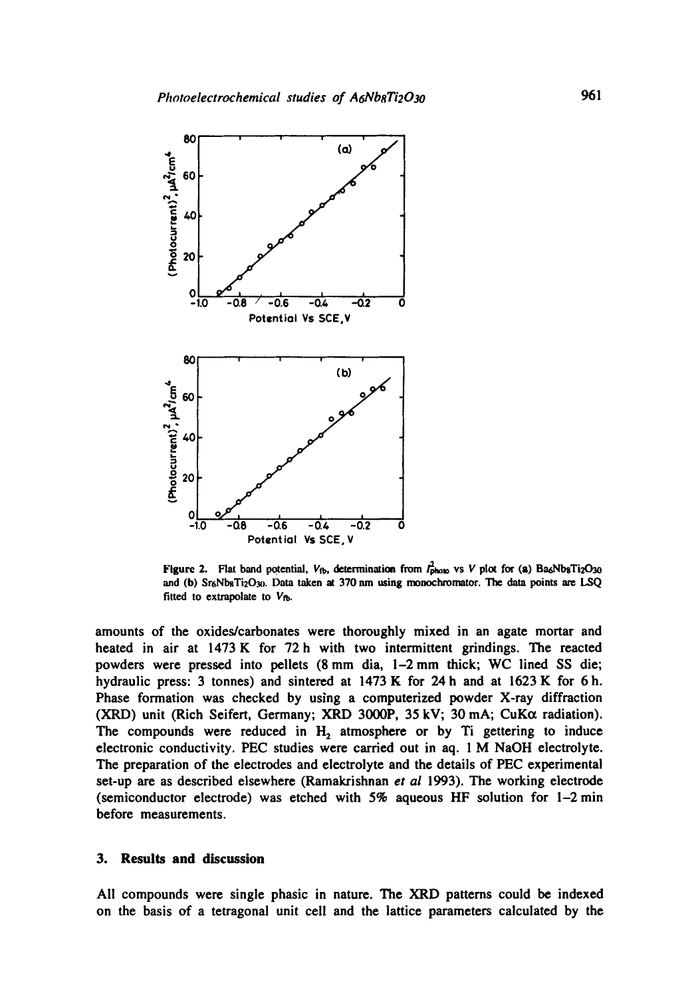

Figure 2. Flat band potential,  $V_{fb}$ , determination from  $I_{phab}^2$  vs V plot for (a) Ba6NbsTi2O30 and (b) Sr<sub>6</sub>Nb<sub>8</sub>Ti<sub>2</sub>O<sub>30</sub>. Data taken at 370 nm using monochromator. The data points are LSQ fitted to extrapolate to  $V_{fb}$ .

amounts of the oxides/carbonates were thoroughly mixed in an agate mortar and heated in air at 1473 K for 72h with two intermittent grindings. The reacted powders were pressed into pellets (8 mm dia, 1-2 mm thick; WC lined SS die; hydraulic press: 3 tonnes) and sintered at 1473 K for 24 h and at 1623 K for 6h. Phase formation was checked by using a computerized powder X-ray diffraction (XRD) unit (Rich Seifert, Germany; XRD 3000P, 35 kV; 30 mA;  $CuK\alpha$  radiation). The compounds were reduced in  $H_2$  atmosphere or by Ti gettering to induce electronic conductivity. PEC studies were carried out in aq. 1 M NaOH electrolyte. The preparation of the electrodes and electrolyte and the details of PEC experimental set-up are as described elsewhere (Ramakrishnan *et al* 1993). The working electrode (semiconductor electrode) was etched with  $5\%$  aqueous HF solution for  $1-2$  min before measurements.

## **3.** Results and discussion

All compounds were single phasic in nature. The XRD patterns could be indexed on the basis of a tetragonal unit cell and the lattice parameters calculated by the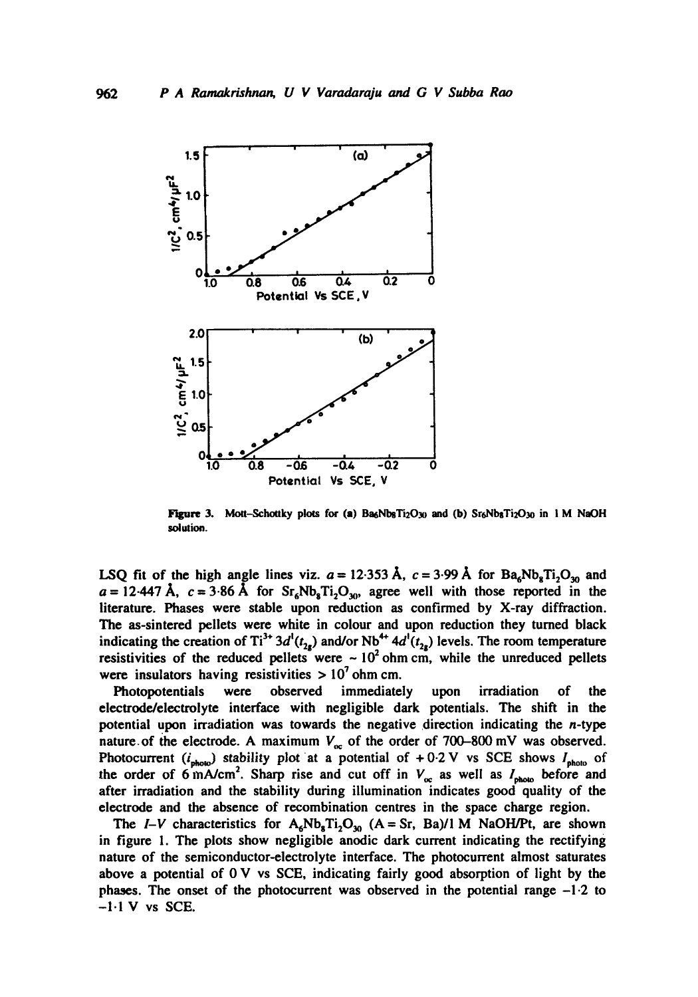

Figure 3. Mott-Schottky plots for (a) Ba6Nb8Ti2O30 and (b)  $Sr_6Nb_8Ti_2O_{30}$  in 1 M NaOH solution.

LSQ fit of the high angle lines viz.  $a = 12.353 \text{ Å}$ ,  $c = 3.99 \text{ Å}$  for Ba<sub>6</sub>Nb<sub>8</sub>Ti<sub>2</sub>O<sub>30</sub> and  $a = 12.447 \text{ Å}$ ,  $c = 3.86 \text{ Å}$  for  $Sr_6Nb_8Ti_2O_{30}$ , agree well with those reported in the literature. Phases were stable upon reduction as confirmed by X-ray diffraction. The as-sintered pellets were white in colour and upon reduction they turned black indicating the creation of Ti<sup>3+</sup> 3d<sup>1</sup>( $t_{2s}$ ) and/or Nb<sup>4+</sup> 4d<sup>1</sup>( $t_{2s}$ ) levels. The room temperature resistivities of the reduced pellets were  $\sim 10^2$  ohm cm, while the unreduced pellets were insulators having resistivities  $> 10<sup>7</sup>$  ohm cm.

Photopotentials were observed immediately upon irradiation of the electrode/electrolyte interface with negligible dark potentials. The shift in the potential upon irradiation was towards the negative direction indicating the n-type nature of the electrode. A maximum  $V_{\infty}$  of the order of 700-800 mV was observed. Photocurrent  $(i_{\text{photo}})$  stability plot at a potential of +0.2 V vs SCE shows  $I_{\text{photo}}$  of the order of 6 mA/cm<sup>2</sup>. Sharp rise and cut off in  $V_{\text{oc}}$  as well as  $I_{\text{photo}}$  before and after irradiation and the stability during illumination indicates good quality of the electrode and the absence of recombination centres in the space charge region.

The *I-V* characteristics for  $A_6Nb_8Ti_2O_{30}$  (A = Sr, Ba)/1 M NaOH/Pt, are shown in figure 1. The plots show negligible anodic dark current indicating the rectifying nature of the semiconductor-electrolyte interface. The photocurrent almost saturates above a potential of  $0 \vee v$  s SCE, indicating fairly good absorption of light by the phases. The onset of the photocurrent was observed in the potential range -1.2 to  $-1.1$  V vs SCE.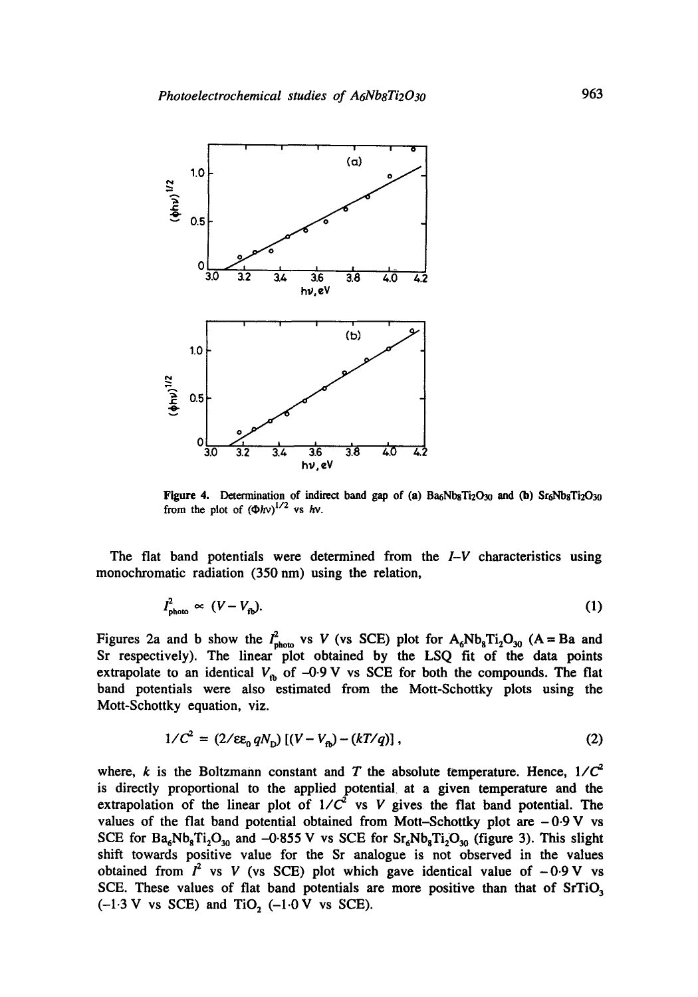

Figure 4. Determination of indirect band gap of (a) Ba<sub>6</sub>Nb<sub>8</sub>Ti<sub>2</sub>O<sub>30</sub> and (b) Sr<sub>6</sub>Nb<sub>8</sub>Ti<sub>2</sub>O<sub>30</sub> from the plot of  $(\Phi h v)^{1/2}$  vs hv.

The fiat band potentials were determined from the *I-V* characteristics using monochromatic radiation (350 nm) using the relation,

$$
I_{\text{photo}}^2 \propto (V - V_{\text{fb}}). \tag{1}
$$

Figures 2a and b show the  $I_{\text{photo}}^2$  vs V (vs SCE) plot for  $A_6Nb_8Ti_2O_{30}$  (A = Ba and Sr respectively). The linear plot obtained by the LSQ fit of the data points extrapolate to an identical  $V_{\text{fb}}$  of -0.9 V vs SCE for both the compounds. The flat band potentials were also estimated from the Mott-Schottky plots using the Mott-Schottky equation, viz.

$$
1/C^2 = (2/\epsilon \varepsilon_0 q N_{\rm p}) [(V - V_{\rm p}) - (kT/q)], \qquad (2)
$$

where, k is the Boltzmann constant and T the absolute temperature. Hence,  $1/C^2$ is directly proportional to the applied potential at a given temperature and the extrapolation of the linear plot of  $1/C^2$  vs V gives the flat band potential. The values of the flat band potential obtained from Mott-Schottky plot are  $-0.9$  V vs SCE for  $Ba_6Nb_8Ti_2O_{30}$  and  $-0.855 V$  vs SCE for  $Sr_6Nb_8Ti_2O_{30}$  (figure 3). This slight shift towards positive value for the Sr analogue is not observed in the values obtained from  $I^2$  vs V (vs SCE) plot which gave identical value of  $-0.9$  V vs SCE. These values of flat band potentials are more positive than that of  $SrTiO<sub>3</sub>$  $(-1.3 \text{ V} \text{ vs } \text{SCE})$  and TiO<sub>2</sub>  $(-1.0 \text{ V} \text{ vs } \text{SCE}).$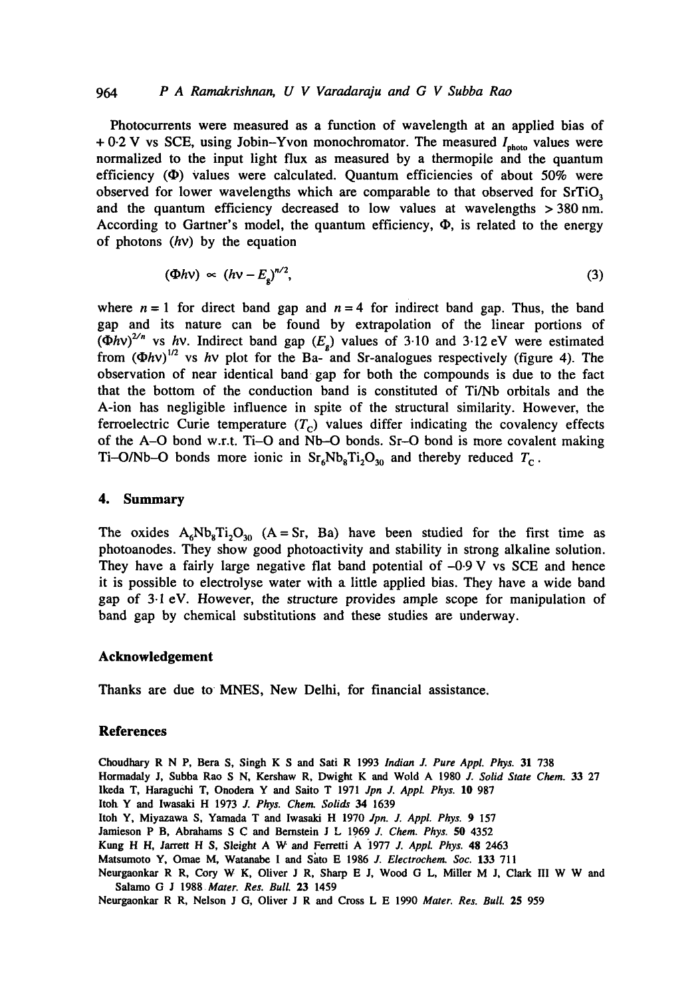### *964 P A Ramakrishnan, U V Varadaraju and G V Subba Rao*

Photocurrents were measured as a function of wavelength at an applied bias of + 0.2 V vs SCE, using Jobin-Yvon monochromator. The measured  $I_{\text{photo}}$  values were normalized to the input light flux as measured by a thermopile and the quantum efficiency  $(\Phi)$  values were calculated. Quantum efficiencies of about 50% were observed for lower wavelengths which are comparable to that observed for  $SrTiO<sub>3</sub>$ and the quantum efficiency decreased to low values at wavelengths > 380nm. According to Gartner's model, the quantum efficiency,  $\Phi$ , is related to the energy of photons  $(hv)$  by the equation

$$
(\Phi h v) \sim (h v - E_g)^{n/2}, \tag{3}
$$

where  $n=1$  for direct band gap and  $n=4$  for indirect band gap. Thus, the band gap and its nature can be found by extrapolation of the linear portions of  $(\Phi h v)^{2/n}$  vs hv. Indirect band gap  $(E_{\sigma})$  values of 3.10 and 3.12 eV were estimated from  $(\Phi h v)^{1/2}$  vs hv plot for the Ba- and Sr-analogues respectively (figure 4). The observation of near identical band gap for both the compounds is due to the fact that the bottom of the conduction band is constituted of Ti/Nb orbitals and the A-ion has negligible influence in spite of the structural similarity. However, the ferroelectric Curie temperature  $(T_c)$  values differ indicating the covalency effects of the A-O bond w.r.t. Ti-O and Nb-O bonds. Sr-O bond is more covalent making Ti-O/Nb-O bonds more ionic in  $Sr_6Nb_8Ti_2O_{30}$  and thereby reduced  $T_c$ .

#### **4. Summary**

The oxides  $A_6Nb_8Ti_2O_{30}$  (A = Sr, Ba) have been studied for the first time as photoanodes. They show good photoactivity and stability in strong alkaline solution. They have a fairly large negative flat band potential of  $-0.9$  V vs SCE and hence it is possible to electrolyse water with a little applied bias. They have a wide band gap of 3.1 eV. However, the structure provides ample scope for manipulation of band gap by chemical substitutions and these studies are underway.

#### **Acknowledgement**

Thanks are due to MNES, New Delhi, for financial assistance.

### **References**

Choudhary R N P, Bera S, Singh K S and Sati R 1993 *Indian J. Pure Appl. Phys.* 31 738 Hormadaly J, Subba Rao S N, Kershaw R, Dwight K and Wold A 1980 *J. Solid State Chem.* 33 27 lkeda T, Haraguehi T, Onodera Y and Saito T 1971 *Jpn J. Appl. Phys.* 10 987 Itoh Y and Iwasaki H 1973 *J. Phys. Chem. Solids 34* 1639 **Itoh** Y, Miyazawa S, Yamada T and Iwasaki H 1970 *Jpn. J. Appl. Phys.* 9 157 Jamieson P B, Abrahams S C and Bernstein J L 1969 *J. Chem. Phys.* 50 4352 Kang H H, Jarrett H S, Sleight A W and Ferretti A 1977 *J. Appl. Phys.* 48 2463 Matsumoto Y, Omae M, Watanabe I and Sato E 1986 *J. Electrochem. Soc.* 133 711 Neurgaonkar R R, Cory W K, Oliver J R, Sharp E J, Wood G L, Miller M J, Clark III W W and Salamo G J *1988Mater. Res. Bull.* 23 1459

Neurgaonkar R R, Nelson J G, Oliver J R and Cross L E 1990 *Mater. Res. Bull.* 25 959